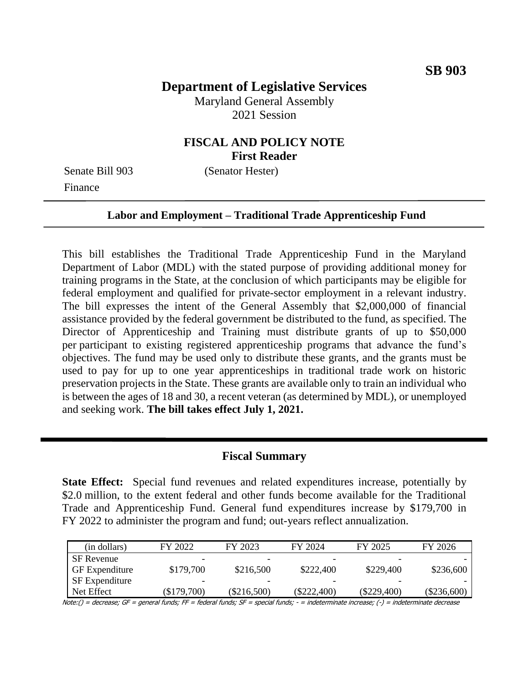# **Department of Legislative Services**

Maryland General Assembly 2021 Session

## **FISCAL AND POLICY NOTE First Reader**

Finance

Senate Bill 903 (Senator Hester)

#### **Labor and Employment – Traditional Trade Apprenticeship Fund**

This bill establishes the Traditional Trade Apprenticeship Fund in the Maryland Department of Labor (MDL) with the stated purpose of providing additional money for training programs in the State, at the conclusion of which participants may be eligible for federal employment and qualified for private-sector employment in a relevant industry. The bill expresses the intent of the General Assembly that \$2,000,000 of financial assistance provided by the federal government be distributed to the fund, as specified. The Director of Apprenticeship and Training must distribute grants of up to \$50,000 per participant to existing registered apprenticeship programs that advance the fund's objectives. The fund may be used only to distribute these grants, and the grants must be used to pay for up to one year apprenticeships in traditional trade work on historic preservation projects in the State. These grants are available only to train an individual who is between the ages of 18 and 30, a recent veteran (as determined by MDL), or unemployed and seeking work. **The bill takes effect July 1, 2021.**

#### **Fiscal Summary**

**State Effect:** Special fund revenues and related expenditures increase, potentially by \$2.0 million, to the extent federal and other funds become available for the Traditional Trade and Apprenticeship Fund. General fund expenditures increase by \$179,700 in FY 2022 to administer the program and fund; out-years reflect annualization.

| (in dollars)          | FY 2022       | FY 2023                  | FY 2024       | FY 2025       | FY 2026       |
|-----------------------|---------------|--------------------------|---------------|---------------|---------------|
| <b>SF</b> Revenue     | -             |                          |               |               |               |
| <b>GF</b> Expenditure | \$179,700     | \$216,500                | \$222,400     | \$229,400     | \$236,600     |
| SF Expenditure        | -             | $\overline{\phantom{0}}$ | -             | -             |               |
| Net Effect            | $(\$179,700)$ | $(\$216,500)$            | $(\$222,400)$ | $(\$229,400)$ | $(\$236,600)$ |

Note:() = decrease; GF = general funds; FF = federal funds; SF = special funds; - = indeterminate increase; (-) = indeterminate decrease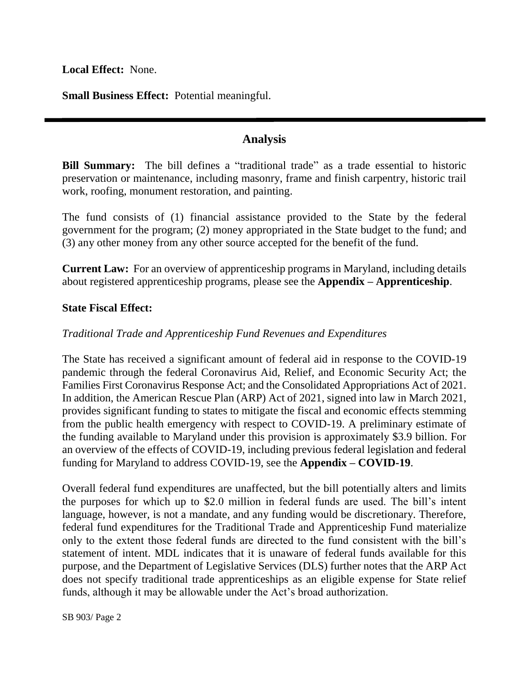**Local Effect:** None.

**Small Business Effect:** Potential meaningful.

## **Analysis**

**Bill Summary:** The bill defines a "traditional trade" as a trade essential to historic preservation or maintenance, including masonry, frame and finish carpentry, historic trail work, roofing, monument restoration, and painting.

The fund consists of (1) financial assistance provided to the State by the federal government for the program; (2) money appropriated in the State budget to the fund; and (3) any other money from any other source accepted for the benefit of the fund.

**Current Law:** For an overview of apprenticeship programs in Maryland, including details about registered apprenticeship programs, please see the **Appendix – Apprenticeship**.

### **State Fiscal Effect:**

## *Traditional Trade and Apprenticeship Fund Revenues and Expenditures*

The State has received a significant amount of federal aid in response to the COVID-19 pandemic through the federal Coronavirus Aid, Relief, and Economic Security Act; the Families First Coronavirus Response Act; and the Consolidated Appropriations Act of 2021. In addition, the American Rescue Plan (ARP) Act of 2021, signed into law in March 2021, provides significant funding to states to mitigate the fiscal and economic effects stemming from the public health emergency with respect to COVID-19. A preliminary estimate of the funding available to Maryland under this provision is approximately \$3.9 billion. For an overview of the effects of COVID-19, including previous federal legislation and federal funding for Maryland to address COVID-19, see the **Appendix – COVID-19**.

Overall federal fund expenditures are unaffected, but the bill potentially alters and limits the purposes for which up to \$2.0 million in federal funds are used. The bill's intent language, however, is not a mandate, and any funding would be discretionary. Therefore, federal fund expenditures for the Traditional Trade and Apprenticeship Fund materialize only to the extent those federal funds are directed to the fund consistent with the bill's statement of intent. MDL indicates that it is unaware of federal funds available for this purpose, and the Department of Legislative Services (DLS) further notes that the ARP Act does not specify traditional trade apprenticeships as an eligible expense for State relief funds, although it may be allowable under the Act's broad authorization.

SB 903/ Page 2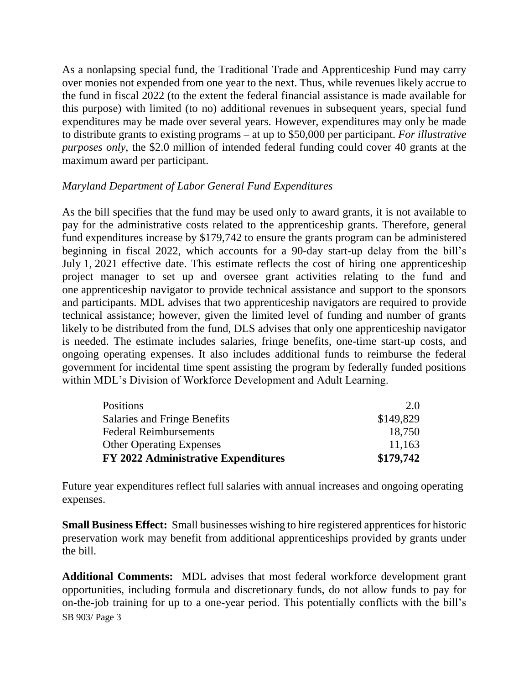As a nonlapsing special fund, the Traditional Trade and Apprenticeship Fund may carry over monies not expended from one year to the next. Thus, while revenues likely accrue to the fund in fiscal 2022 (to the extent the federal financial assistance is made available for this purpose) with limited (to no) additional revenues in subsequent years, special fund expenditures may be made over several years. However, expenditures may only be made to distribute grants to existing programs – at up to \$50,000 per participant. *For illustrative purposes only*, the \$2.0 million of intended federal funding could cover 40 grants at the maximum award per participant.

### *Maryland Department of Labor General Fund Expenditures*

As the bill specifies that the fund may be used only to award grants, it is not available to pay for the administrative costs related to the apprenticeship grants. Therefore, general fund expenditures increase by \$179,742 to ensure the grants program can be administered beginning in fiscal 2022, which accounts for a 90-day start-up delay from the bill's July 1, 2021 effective date. This estimate reflects the cost of hiring one apprenticeship project manager to set up and oversee grant activities relating to the fund and one apprenticeship navigator to provide technical assistance and support to the sponsors and participants. MDL advises that two apprenticeship navigators are required to provide technical assistance; however, given the limited level of funding and number of grants likely to be distributed from the fund, DLS advises that only one apprenticeship navigator is needed. The estimate includes salaries, fringe benefits, one-time start-up costs, and ongoing operating expenses. It also includes additional funds to reimburse the federal government for incidental time spent assisting the program by federally funded positions within MDL's Division of Workforce Development and Adult Learning.

| <b>Positions</b>                    | 2.0       |
|-------------------------------------|-----------|
| Salaries and Fringe Benefits        | \$149,829 |
| <b>Federal Reimbursements</b>       | 18.750    |
| <b>Other Operating Expenses</b>     | 11,163    |
| FY 2022 Administrative Expenditures | \$179,742 |

Future year expenditures reflect full salaries with annual increases and ongoing operating expenses.

**Small Business Effect:** Small businesses wishing to hire registered apprentices for historic preservation work may benefit from additional apprenticeships provided by grants under the bill.

SB 903/ Page 3 **Additional Comments:** MDL advises that most federal workforce development grant opportunities, including formula and discretionary funds, do not allow funds to pay for on-the-job training for up to a one-year period. This potentially conflicts with the bill's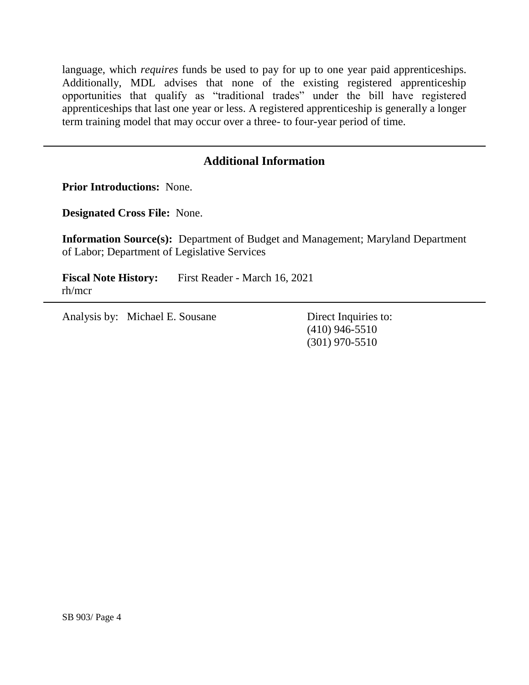language, which *requires* funds be used to pay for up to one year paid apprenticeships. Additionally, MDL advises that none of the existing registered apprenticeship opportunities that qualify as "traditional trades" under the bill have registered apprenticeships that last one year or less. A registered apprenticeship is generally a longer term training model that may occur over a three- to four-year period of time.

## **Additional Information**

**Prior Introductions:** None.

**Designated Cross File:** None.

**Information Source(s):** Department of Budget and Management; Maryland Department of Labor; Department of Legislative Services

**Fiscal Note History:** First Reader - March 16, 2021 rh/mcr

Analysis by: Michael E. Sousane Direct Inquiries to:

(410) 946-5510 (301) 970-5510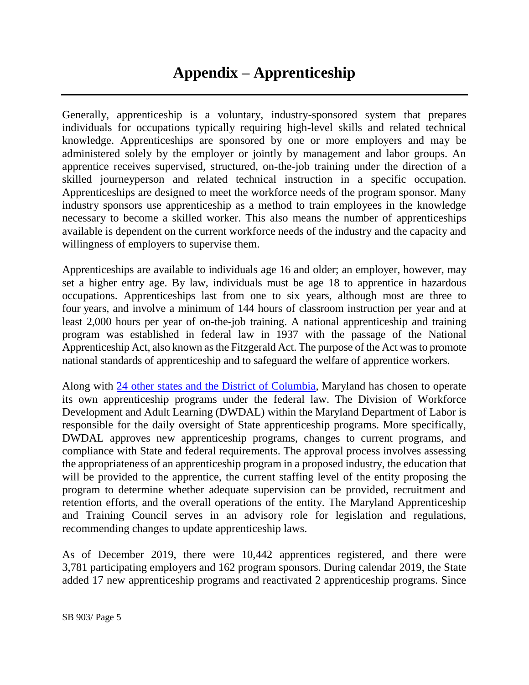Generally, apprenticeship is a voluntary, industry-sponsored system that prepares individuals for occupations typically requiring high-level skills and related technical knowledge. Apprenticeships are sponsored by one or more employers and may be administered solely by the employer or jointly by management and labor groups. An apprentice receives supervised, structured, on-the-job training under the direction of a skilled journeyperson and related technical instruction in a specific occupation. Apprenticeships are designed to meet the workforce needs of the program sponsor. Many industry sponsors use apprenticeship as a method to train employees in the knowledge necessary to become a skilled worker. This also means the number of apprenticeships available is dependent on the current workforce needs of the industry and the capacity and willingness of employers to supervise them.

Apprenticeships are available to individuals age 16 and older; an employer, however, may set a higher entry age. By law, individuals must be age 18 to apprentice in hazardous occupations. Apprenticeships last from one to six years, although most are three to four years, and involve a minimum of 144 hours of classroom instruction per year and at least 2,000 hours per year of on-the-job training. A national apprenticeship and training program was established in federal law in 1937 with the passage of the National Apprenticeship Act, also known as the Fitzgerald Act. The purpose of the Act was to promote national standards of apprenticeship and to safeguard the welfare of apprentice workers.

Along with [24 other states and the District of Columbia,](https://www.dol.gov/agencies/eta/apprenticeship/contact) Maryland has chosen to operate its own apprenticeship programs under the federal law. The Division of Workforce Development and Adult Learning (DWDAL) within the Maryland Department of Labor is responsible for the daily oversight of State apprenticeship programs. More specifically, DWDAL approves new apprenticeship programs, changes to current programs, and compliance with State and federal requirements. The approval process involves assessing the appropriateness of an apprenticeship program in a proposed industry, the education that will be provided to the apprentice, the current staffing level of the entity proposing the program to determine whether adequate supervision can be provided, recruitment and retention efforts, and the overall operations of the entity. The Maryland Apprenticeship and Training Council serves in an advisory role for legislation and regulations, recommending changes to update apprenticeship laws.

As of December 2019, there were 10,442 apprentices registered, and there were 3,781 participating employers and 162 program sponsors. During calendar 2019, the State added 17 new apprenticeship programs and reactivated 2 apprenticeship programs. Since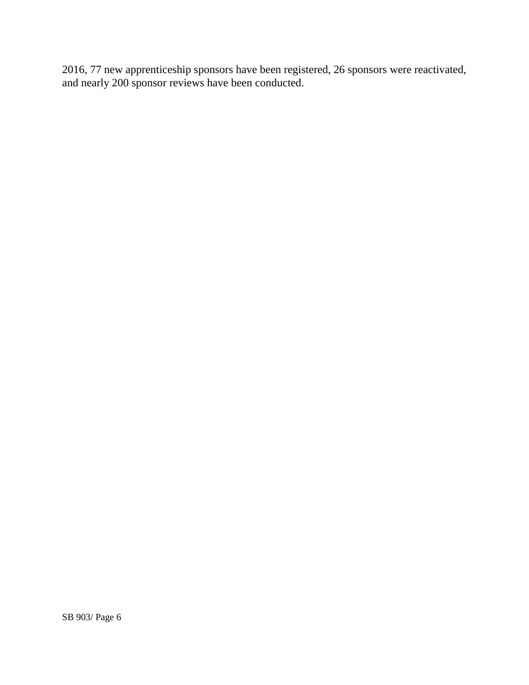2016, 77 new apprenticeship sponsors have been registered, 26 sponsors were reactivated, and nearly 200 sponsor reviews have been conducted.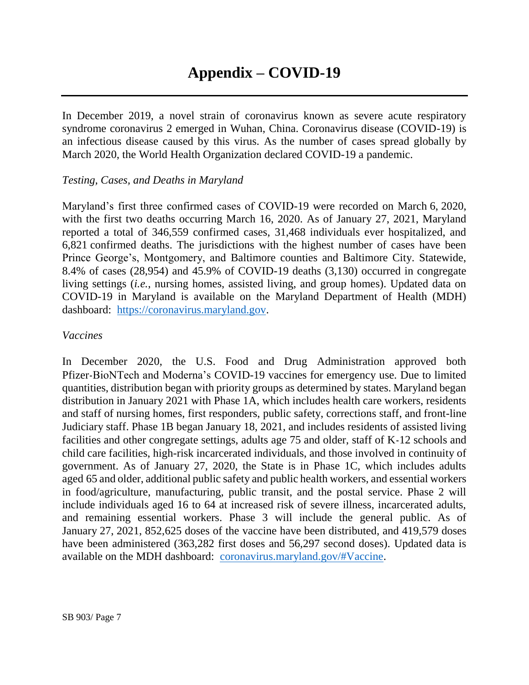In December 2019, a novel strain of coronavirus known as severe acute respiratory syndrome coronavirus 2 emerged in Wuhan, China. Coronavirus disease (COVID-19) is an infectious disease caused by this virus. As the number of cases spread globally by March 2020, the World Health Organization declared COVID-19 a pandemic.

## *Testing, Cases, and Deaths in Maryland*

Maryland's first three confirmed cases of COVID-19 were recorded on March 6, 2020, with the first two deaths occurring March 16, 2020. As of January 27, 2021, Maryland reported a total of 346,559 confirmed cases, 31,468 individuals ever hospitalized, and 6,821 confirmed deaths. The jurisdictions with the highest number of cases have been Prince George's, Montgomery, and Baltimore counties and Baltimore City. Statewide, 8.4% of cases (28,954) and 45.9% of COVID-19 deaths (3,130) occurred in congregate living settings (*i.e.*, nursing homes, assisted living, and group homes). Updated data on COVID-19 in Maryland is available on the Maryland Department of Health (MDH) dashboard: [https://coronavirus.maryland.gov.](https://coronavirus.maryland.gov/)

### *Vaccines*

In December 2020, the U.S. Food and Drug Administration approved both Pfizer-BioNTech and Moderna's COVID-19 vaccines for emergency use. Due to limited quantities, distribution began with priority groups as determined by states. Maryland began distribution in January 2021 with Phase 1A, which includes health care workers, residents and staff of nursing homes, first responders, public safety, corrections staff, and front-line Judiciary staff. Phase 1B began January 18, 2021, and includes residents of assisted living facilities and other congregate settings, adults age 75 and older, staff of K-12 schools and child care facilities, high-risk incarcerated individuals, and those involved in continuity of government. As of January 27, 2020, the State is in Phase 1C, which includes adults aged 65 and older, additional public safety and public health workers, and essential workers in food/agriculture, manufacturing, public transit, and the postal service. Phase 2 will include individuals aged 16 to 64 at increased risk of severe illness, incarcerated adults, and remaining essential workers. Phase 3 will include the general public. As of January 27, 2021, 852,625 doses of the vaccine have been distributed, and 419,579 doses have been administered (363,282 first doses and 56,297 second doses). Updated data is available on the MDH dashboard: [coronavirus.maryland.gov/#Vaccine.](https://coronavirus.maryland.gov/#Vaccine)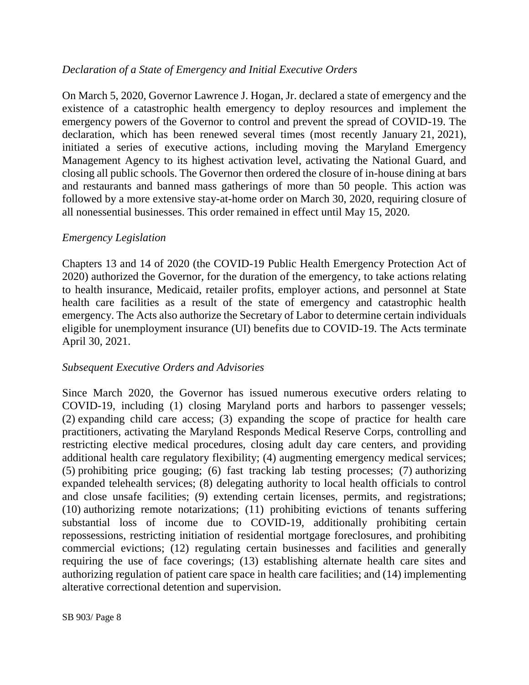## *Declaration of a State of Emergency and Initial Executive Orders*

On March 5, 2020, Governor Lawrence J. Hogan, Jr. declared a state of emergency and the existence of a catastrophic health emergency to deploy resources and implement the emergency powers of the Governor to control and prevent the spread of COVID-19. The declaration, which has been renewed several times (most recently January 21, 2021), initiated a series of executive actions, including moving the Maryland Emergency Management Agency to its highest activation level, activating the National Guard, and closing all public schools. The Governor then ordered the closure of in-house dining at bars and restaurants and banned mass gatherings of more than 50 people. This action was followed by a more extensive stay-at-home order on March 30, 2020, requiring closure of all nonessential businesses. This order remained in effect until May 15, 2020.

## *Emergency Legislation*

Chapters 13 and 14 of 2020 (the COVID-19 Public Health Emergency Protection Act of 2020) authorized the Governor, for the duration of the emergency, to take actions relating to health insurance, Medicaid, retailer profits, employer actions, and personnel at State health care facilities as a result of the state of emergency and catastrophic health emergency. The Acts also authorize the Secretary of Labor to determine certain individuals eligible for unemployment insurance (UI) benefits due to COVID-19. The Acts terminate April 30, 2021.

## *Subsequent Executive Orders and Advisories*

Since March 2020, the Governor has issued numerous executive orders relating to COVID-19, including (1) closing Maryland ports and harbors to passenger vessels; (2) expanding child care access; (3) expanding the scope of practice for health care practitioners, activating the Maryland Responds Medical Reserve Corps, controlling and restricting elective medical procedures, closing adult day care centers, and providing additional health care regulatory flexibility; (4) augmenting emergency medical services; (5) prohibiting price gouging; (6) fast tracking lab testing processes; (7) authorizing expanded telehealth services; (8) delegating authority to local health officials to control and close unsafe facilities; (9) extending certain licenses, permits, and registrations; (10) authorizing remote notarizations; (11) prohibiting evictions of tenants suffering substantial loss of income due to COVID-19, additionally prohibiting certain repossessions, restricting initiation of residential mortgage foreclosures, and prohibiting commercial evictions; (12) regulating certain businesses and facilities and generally requiring the use of face coverings; (13) establishing alternate health care sites and authorizing regulation of patient care space in health care facilities; and (14) implementing alterative correctional detention and supervision.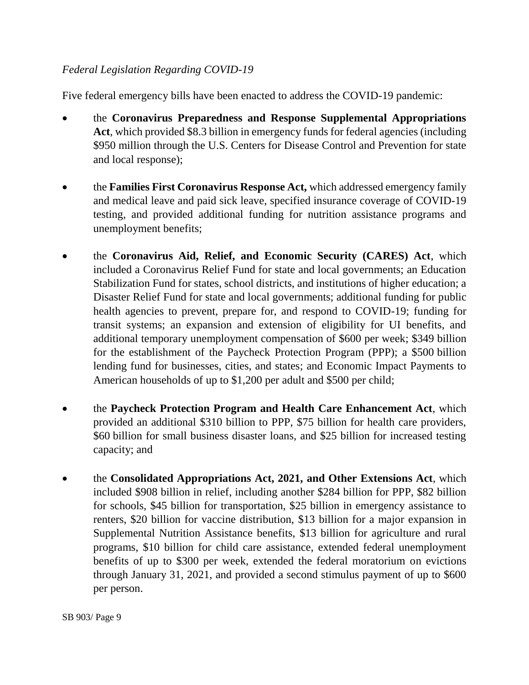## *Federal Legislation Regarding COVID-19*

Five federal emergency bills have been enacted to address the COVID-19 pandemic:

- the **Coronavirus Preparedness and Response Supplemental Appropriations**  Act, which provided \$8.3 billion in emergency funds for federal agencies (including \$950 million through the U.S. Centers for Disease Control and Prevention for state and local response);
- the **Families First Coronavirus Response Act,** which addressed emergency family and medical leave and paid sick leave, specified insurance coverage of COVID-19 testing, and provided additional funding for nutrition assistance programs and unemployment benefits;
- the **Coronavirus Aid, Relief, and Economic Security (CARES) Act**, which included a Coronavirus Relief Fund for state and local governments; an Education Stabilization Fund for states, school districts, and institutions of higher education; a Disaster Relief Fund for state and local governments; additional funding for public health agencies to prevent, prepare for, and respond to COVID-19; funding for transit systems; an expansion and extension of eligibility for UI benefits, and additional temporary unemployment compensation of \$600 per week; \$349 billion for the establishment of the Paycheck Protection Program (PPP); a \$500 billion lending fund for businesses, cities, and states; and Economic Impact Payments to American households of up to \$1,200 per adult and \$500 per child;
- the **Paycheck Protection Program and Health Care Enhancement Act**, which provided an additional \$310 billion to PPP, \$75 billion for health care providers, \$60 billion for small business disaster loans, and \$25 billion for increased testing capacity; and
- the **Consolidated Appropriations Act, 2021, and Other Extensions Act**, which included \$908 billion in relief, including another \$284 billion for PPP, \$82 billion for schools, \$45 billion for transportation, \$25 billion in emergency assistance to renters, \$20 billion for vaccine distribution, \$13 billion for a major expansion in Supplemental Nutrition Assistance benefits, \$13 billion for agriculture and rural programs, \$10 billion for child care assistance, extended federal unemployment benefits of up to \$300 per week, extended the federal moratorium on evictions through January 31, 2021, and provided a second stimulus payment of up to \$600 per person.